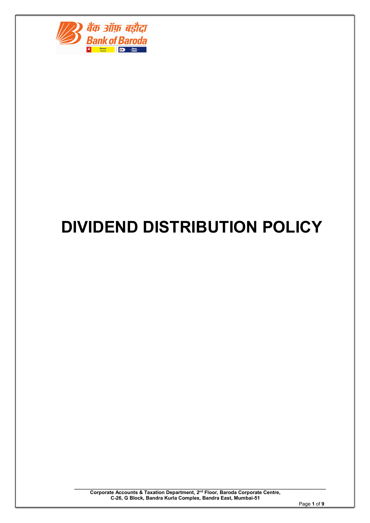

# DIVIDEND DISTRIBUTION POLICY

 $\_$  , and the set of the set of the set of the set of the set of the set of the set of the set of the set of the set of the set of the set of the set of the set of the set of the set of the set of the set of the set of th Corporate Accounts & Taxation Department, 2nd Floor, Baroda Corporate Centre, C-26, G Block, Bandra Kurla Complex, Bandra East, Mumbai-51

Page 1 of 9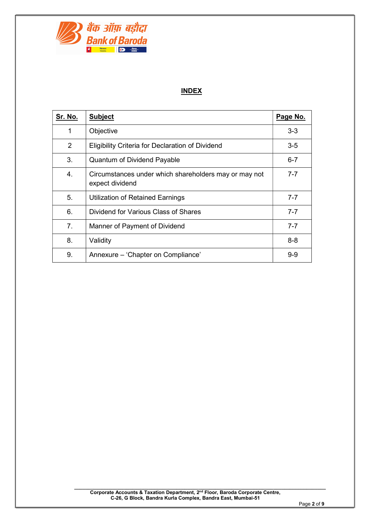

# INDEX

| <u>Sr. No.</u> | <b>Subject</b>                                                           | Page No. |
|----------------|--------------------------------------------------------------------------|----------|
| 1              | Objective                                                                | $3 - 3$  |
| 2              | Eligibility Criteria for Declaration of Dividend                         | $3-5$    |
| 3.             | <b>Quantum of Dividend Payable</b>                                       | $6 - 7$  |
| 4.             | Circumstances under which shareholders may or may not<br>expect dividend | $7 - 7$  |
| 5.             | Utilization of Retained Earnings                                         | $7 - 7$  |
| 6.             | Dividend for Various Class of Shares                                     | $7 - 7$  |
| 7 <sub>1</sub> | Manner of Payment of Dividend                                            | $7 - 7$  |
| 8.             | Validity                                                                 | $8 - 8$  |
| 9.             | Annexure - 'Chapter on Compliance'                                       | $9 - 9$  |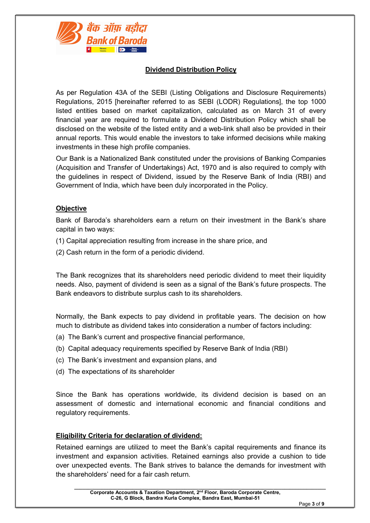

# Dividend Distribution Policy

As per Regulation 43A of the SEBI (Listing Obligations and Disclosure Requirements) Regulations, 2015 [hereinafter referred to as SEBI (LODR) Regulations], the top 1000 listed entities based on market capitalization, calculated as on March 31 of every financial year are required to formulate a Dividend Distribution Policy which shall be disclosed on the website of the listed entity and a web-link shall also be provided in their annual reports. This would enable the investors to take informed decisions while making investments in these high profile companies.

Our Bank is a Nationalized Bank constituted under the provisions of Banking Companies (Acquisition and Transfer of Undertakings) Act, 1970 and is also required to comply with the guidelines in respect of Dividend, issued by the Reserve Bank of India (RBI) and Government of India, which have been duly incorporated in the Policy.

## **Objective**

Bank of Baroda's shareholders earn a return on their investment in the Bank's share capital in two ways:

- (1) Capital appreciation resulting from increase in the share price, and
- (2) Cash return in the form of a periodic dividend.

The Bank recognizes that its shareholders need periodic dividend to meet their liquidity needs. Also, payment of dividend is seen as a signal of the Bank's future prospects. The Bank endeavors to distribute surplus cash to its shareholders.

Normally, the Bank expects to pay dividend in profitable years. The decision on how much to distribute as dividend takes into consideration a number of factors including:

- (a) The Bank's current and prospective financial performance,
- (b) Capital adequacy requirements specified by Reserve Bank of India (RBI)
- (c) The Bank's investment and expansion plans, and
- (d) The expectations of its shareholder

Since the Bank has operations worldwide, its dividend decision is based on an assessment of domestic and international economic and financial conditions and regulatory requirements.

#### Eligibility Criteria for declaration of dividend:

Retained earnings are utilized to meet the Bank's capital requirements and finance its investment and expansion activities. Retained earnings also provide a cushion to tide over unexpected events. The Bank strives to balance the demands for investment with the shareholders' need for a fair cash return.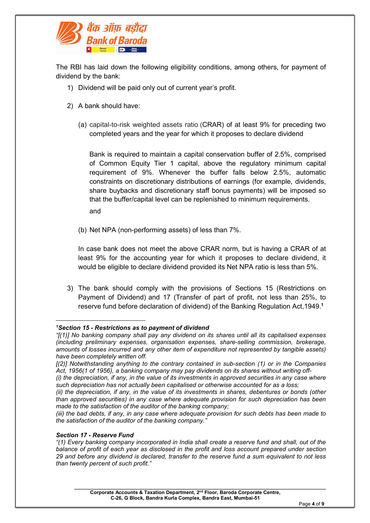

The RBI has laid down the following eligibility conditions, among others, for payment of dividend by the bank:

- 1) Dividend will be paid only out of current year's profit.
- 2) A bank should have:
	- (a) capital-to-risk weighted assets ratio (CRAR) of at least 9% for preceding two completed years and the year for which it proposes to declare dividend

Bank is required to maintain a capital conservation buffer of 2.5%, comprised of Common Equity Tier 1 capital, above the regulatory minimum capital requirement of 9%. Whenever the buffer falls below 2.5%, automatic constraints on discretionary distributions of earnings (for example, dividends, share buybacks and discretionary staff bonus payments) will be imposed so that the buffer/capital level can be replenished to minimum requirements. and

(b) Net NPA (non-performing assets) of less than 7%.

In case bank does not meet the above CRAR norm, but is having a CRAR of at least 9% for the accounting year for which it proposes to declare dividend, it would be eligible to declare dividend provided its Net NPA ratio is less than 5%.

3) The bank should comply with the provisions of Sections 15 (Restrictions on Payment of Dividend) and 17 (Transfer of part of profit, not less than 25%, to reserve fund before declaration of dividend) of the Banking Regulation Act,1949.<sup>1</sup>

#### Section 17 - Reserve Fund

-

<sup>1</sup>Section 15 - Restrictions as to payment of dividend

<sup>&</sup>quot;[(1)] No banking company shall pay any dividend on its shares until all its capitalised expenses (including preliminary expenses, organisation expenses, share-selling commission, brokerage, amounts of losses incurred and any other item of expenditure not represented by tangible assets) have been completely written off.

<sup>[(2)]</sup> Notwithstanding anything to the contrary contained in sub-section (1) or in the Companies Act, 1956(1 of 1956), a banking company may pay dividends on its shares without writing off-

<sup>(</sup>i) the depreciation, if any, in the value of its investments in approved securities in any case where such depreciation has not actually been capitalised or otherwise accounted for as a loss;

<sup>(</sup>ii) the depreciation, if any, in the value of its investments in shares, debentures or bonds (other than approved securities) in any case where adequate provision for such depreciation has been made to the satisfaction of the auditor of the banking company;

<sup>(</sup>iii) the bad debts, if any, in any case where adequate provision for such debts has been made to the satisfaction of the auditor of the banking company."

<sup>&</sup>quot;(1) Every banking company incorporated in India shall create a reserve fund and shall, out of the balance of profit of each year as disclosed in the profit and loss account prepared under section 29 and before any dividend is declared, transfer to the reserve fund a sum equivalent to not less than twenty percent of such profit."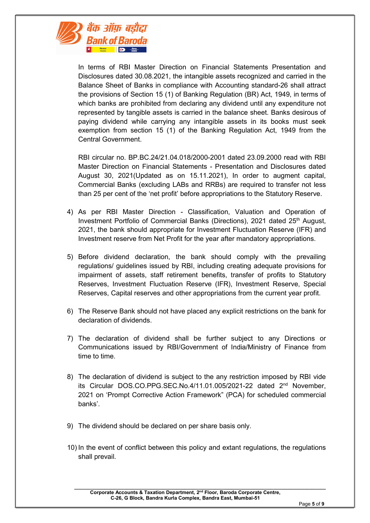

In terms of RBI Master Direction on Financial Statements Presentation and Disclosures dated 30.08.2021, the intangible assets recognized and carried in the Balance Sheet of Banks in compliance with Accounting standard-26 shall attract the provisions of Section 15 (1) of Banking Regulation (BR) Act, 1949, in terms of which banks are prohibited from declaring any dividend until any expenditure not represented by tangible assets is carried in the balance sheet. Banks desirous of paying dividend while carrying any intangible assets in its books must seek exemption from section 15 (1) of the Banking Regulation Act, 1949 from the Central Government.

RBI circular no. BP.BC.24/21.04.018/2000-2001 dated 23.09.2000 read with RBI Master Direction on Financial Statements - Presentation and Disclosures dated August 30, 2021(Updated as on 15.11.2021), In order to augment capital, Commercial Banks (excluding LABs and RRBs) are required to transfer not less than 25 per cent of the 'net profit' before appropriations to the Statutory Reserve.

- 4) As per RBI Master Direction Classification, Valuation and Operation of Investment Portfolio of Commercial Banks (Directions), 2021 dated 25<sup>th</sup> August, 2021, the bank should appropriate for Investment Fluctuation Reserve (IFR) and Investment reserve from Net Profit for the year after mandatory appropriations.
- 5) Before dividend declaration, the bank should comply with the prevailing regulations/ guidelines issued by RBI, including creating adequate provisions for impairment of assets, staff retirement benefits, transfer of profits to Statutory Reserves, Investment Fluctuation Reserve (IFR), Investment Reserve, Special Reserves, Capital reserves and other appropriations from the current year profit.
- 6) The Reserve Bank should not have placed any explicit restrictions on the bank for declaration of dividends.
- 7) The declaration of dividend shall be further subject to any Directions or Communications issued by RBI/Government of India/Ministry of Finance from time to time.
- 8) The declaration of dividend is subject to the any restriction imposed by RBI vide its Circular DOS.CO.PPG.SEC.No.4/11.01.005/2021-22 dated 2nd November, 2021 on 'Prompt Corrective Action Framework" (PCA) for scheduled commercial banks'.
- 9) The dividend should be declared on per share basis only.
- 10) In the event of conflict between this policy and extant regulations, the regulations shall prevail.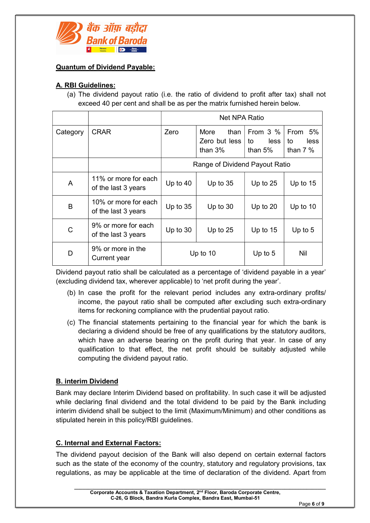

## Quantum of Dividend Payable:

## A. RBI Guidelines:

(a) The dividend payout ratio (i.e. the ratio of dividend to profit after tax) shall not exceed 40 per cent and shall be as per the matrix furnished herein below.

|          |                                             | Net NPA Ratio                  |                                                    |                                       |                                         |
|----------|---------------------------------------------|--------------------------------|----------------------------------------------------|---------------------------------------|-----------------------------------------|
| Category | <b>CRAR</b>                                 | Zero                           | <b>More</b><br>than<br>Zero but less<br>than $3\%$ | From $3\%$<br>less<br>to<br>than $5%$ | From<br>- 5%<br>to<br>less<br>than $7%$ |
|          |                                             | Range of Dividend Payout Ratio |                                                    |                                       |                                         |
| A        | 11% or more for each<br>of the last 3 years | Up to $40$                     | Up to $35$                                         | Up to $25$                            | Up to $15$                              |
| B        | 10% or more for each<br>of the last 3 years | Up to $35$                     | Up to $30$                                         | Up to $20$                            | Up to $10$                              |
| C        | 9% or more for each<br>of the last 3 years  | Up to 30                       | Up to $25$                                         | Up to $15$                            | Up to 5                                 |
| D        | 9% or more in the<br>Current year           | Up to $10$                     |                                                    | Up to $5$                             | Nil                                     |

Dividend payout ratio shall be calculated as a percentage of 'dividend payable in a year' (excluding dividend tax, wherever applicable) to 'net profit during the year'.

- (b) In case the profit for the relevant period includes any extra-ordinary profits/ income, the payout ratio shall be computed after excluding such extra-ordinary items for reckoning compliance with the prudential payout ratio.
- (c) The financial statements pertaining to the financial year for which the bank is declaring a dividend should be free of any qualifications by the statutory auditors, which have an adverse bearing on the profit during that year. In case of any qualification to that effect, the net profit should be suitably adjusted while computing the dividend payout ratio.

## B. interim Dividend

Bank may declare Interim Dividend based on profitability. In such case it will be adjusted while declaring final dividend and the total dividend to be paid by the Bank including interim dividend shall be subject to the limit (Maximum/Minimum) and other conditions as stipulated herein in this policy/RBI guidelines.

## C. Internal and External Factors:

The dividend payout decision of the Bank will also depend on certain external factors such as the state of the economy of the country, statutory and regulatory provisions, tax regulations, as may be applicable at the time of declaration of the dividend. Apart from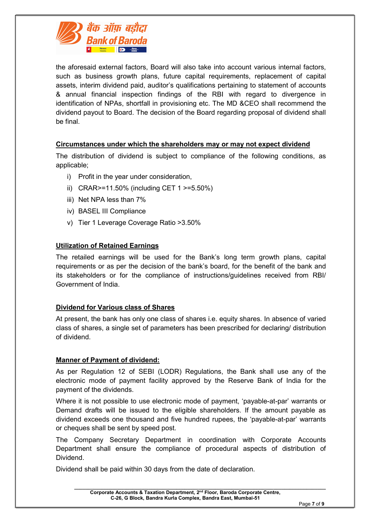

the aforesaid external factors, Board will also take into account various internal factors, such as business growth plans, future capital requirements, replacement of capital assets, interim dividend paid, auditor's qualifications pertaining to statement of accounts & annual financial inspection findings of the RBI with regard to divergence in identification of NPAs, shortfall in provisioning etc. The MD &CEO shall recommend the dividend payout to Board. The decision of the Board regarding proposal of dividend shall be final.

#### Circumstances under which the shareholders may or may not expect dividend

The distribution of dividend is subject to compliance of the following conditions, as applicable;

- i) Profit in the year under consideration,
- ii) CRAR>=11.50% (including CET 1 >=5.50%)
- iii) Net NPA less than 7%
- iv) BASEL III Compliance
- v) Tier 1 Leverage Coverage Ratio >3.50%

#### Utilization of Retained Earnings

The retailed earnings will be used for the Bank's long term growth plans, capital requirements or as per the decision of the bank's board, for the benefit of the bank and its stakeholders or for the compliance of instructions/guidelines received from RBI/ Government of India.

#### Dividend for Various class of Shares

At present, the bank has only one class of shares i.e. equity shares. In absence of varied class of shares, a single set of parameters has been prescribed for declaring/ distribution of dividend.

#### Manner of Payment of dividend:

As per Regulation 12 of SEBI (LODR) Regulations, the Bank shall use any of the electronic mode of payment facility approved by the Reserve Bank of India for the payment of the dividends.

Where it is not possible to use electronic mode of payment, 'payable-at-par' warrants or Demand drafts will be issued to the eligible shareholders. If the amount payable as dividend exceeds one thousand and five hundred rupees, the 'payable-at-par' warrants or cheques shall be sent by speed post.

The Company Secretary Department in coordination with Corporate Accounts Department shall ensure the compliance of procedural aspects of distribution of Dividend.

 $\_$  , and the set of the set of the set of the set of the set of the set of the set of the set of the set of the set of the set of the set of the set of the set of the set of the set of the set of the set of the set of th

Dividend shall be paid within 30 days from the date of declaration.

Corporate Accounts & Taxation Department, 2nd Floor, Baroda Corporate Centre, C-26, G Block, Bandra Kurla Complex, Bandra East, Mumbai-51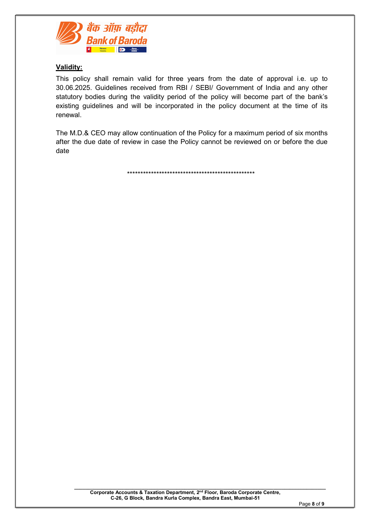

## Validity:

This policy shall remain valid for three years from the date of approval i.e. up to 30.06.2025. Guidelines received from RBI / SEBI/ Government of India and any other statutory bodies during the validity period of the policy will become part of the bank's existing guidelines and will be incorporated in the policy document at the time of its renewal.

The M.D.& CEO may allow continuation of the Policy for a maximum period of six months after the due date of review in case the Policy cannot be reviewed on or before the due date

\*\*\*\*\*\*\*\*\*\*\*\*\*\*\*\*\*\*\*\*\*\*\*\*\*\*\*\*\*\*\*\*\*\*\*\*\*\*\*\*\*\*\*\*\*\*\*\*